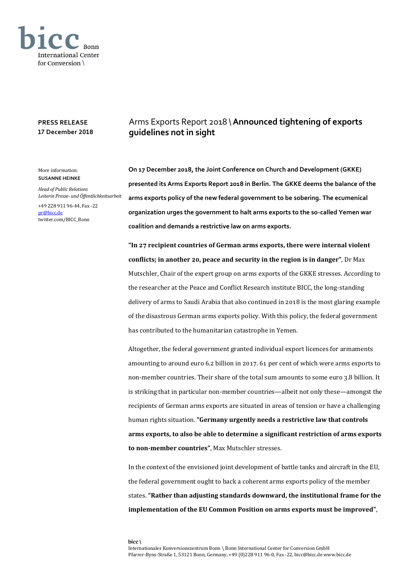

## **PRESS RELEASE 17 December 2018**

## More information: **SUSANNE HEINKE**

*Head of Public Relations Leiterin Presse- und Öffentlichkeitsarbeit*

+49 228 911 96-44, Fax -22 [pr@bicc.de](mailto:pr@bicc.de) twitter.com/BICC\_Bonn

## Arms Exports Report 2018 \**Announced tightening of exports guidelines not in sight**

**On 17 December 2018, the Joint Conference on Church and Development (GKKE) presented its Arms Exports Report 2018 in Berlin. The GKKE deems the balance of the arms exports policy of the new federal government to be sobering. The ecumenical organization urges the government to halt arms exports to the so-called Yemen war coalition and demands a restrictive law on arms exports.**

**"In 27 recipient countries of German arms exports, there were internal violent conflicts; in another 20, peace and security in the region is in danger"**, Dr Max Mutschler, Chair of the expert group on arms exports of the GKKE stresses. According to the researcher at the Peace and Conflict Research institute BICC, the long-standing delivery of arms to Saudi Arabia that also continued in 2018 is the most glaring example of the disastrous German arms exports policy. With this policy, the federal government has contributed to the humanitarian catastrophe in Yemen.

Altogether, the federal government granted individual export licences for armaments amounting to around euro 6.2 billion in 2017. 61 per cent of which were arms exports to non-member countries. Their share of the total sum amounts to some euro 3.8 billion. It is striking that in particular non-member countries—albeit not only these—amongst the recipients of German arms exports are situated in areas of tension or have a challenging human rights situation. **"Germany urgently needs a restrictive law that controls arms exports, to also be able to determine a significant restriction of arms exports to non-member countries"**, Max Mutschler stresses.

In the context of the envisioned joint development of battle tanks and aircraft in the EU, the federal government ought to back a coherent arms exports policy of the member states. **"Rather than adjusting standards downward, the institutional frame for the implementation of the EU Common Position on arms exports must be improved"**,